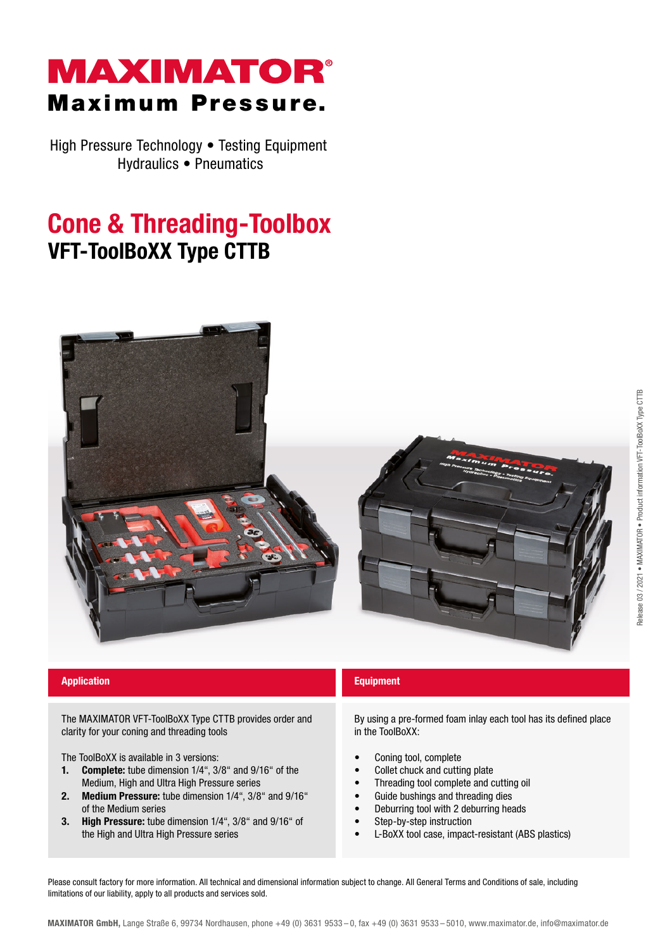

High Pressure Technology • Testing Equipment Hydraulics • Pneumatics

## Cone & Threading-Toolbox VFT-ToolBoXX Type CTTB



The MAXIMATOR VFT-ToolBoXX Type CTTB provides order and clarity for your coning and threading tools

The ToolBoXX is available in 3 versions:

- 1. Complete: tube dimension 1/4", 3/8" and 9/16" of the Medium, High and Ultra High Pressure series
- 2. Medium Pressure: tube dimension 1/4", 3/8" and 9/16" of the Medium series
- 3. High Pressure: tube dimension 1/4", 3/8" and 9/16" of the High and Ultra High Pressure series

## Application **Equipment** Constitution Constitution and Constitution Constitution and Constitution Constitution

By using a pre-formed foam inlay each tool has its defined place in the ToolBoXX:

- Coning tool, complete
- Collet chuck and cutting plate
- Threading tool complete and cutting oil
- Guide bushings and threading dies
- Deburring tool with 2 deburring heads
- Step-by-step instruction
- L-BoXX tool case, impact-resistant (ABS plastics)

Please consult factory for more information. All technical and dimensional information subject to change. All General Terms and Conditions of sale, including limitations of our liability, apply to all products and services sold.